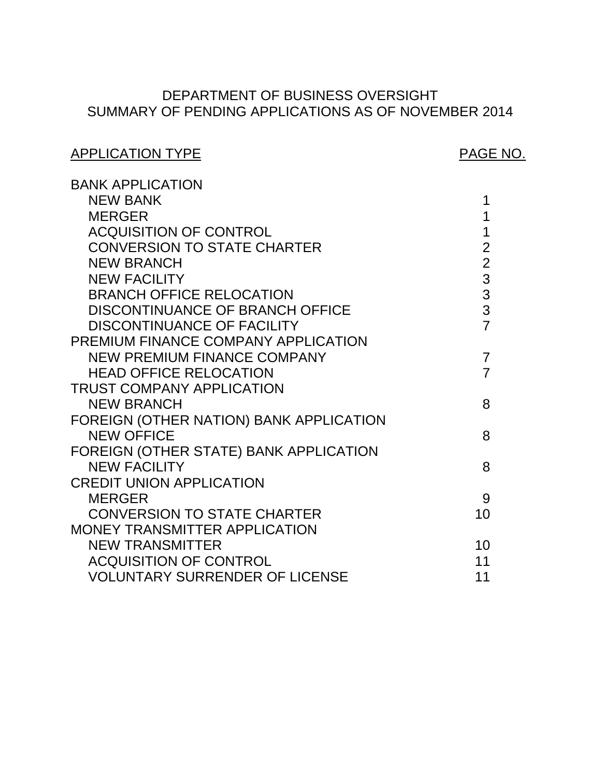# SUMMARY OF PENDING APPLICATIONS AS OF NOVEMBER 2014 DEPARTMENT OF BUSINESS OVERSIGHT

# [CONVERSION TO STATE CHARTER 2](#page-2-0)  DISCONTINUANCE OF BRANCH OFFICE  $\qquad \qquad 3$ NEW PREMIUM FINANCE COMPANY 7 FOREIGN (OTHER NATION) BANK APPLICATION FOREIGN (OTHER STATE) BANK APPLICATION CONVERSION TO STATE CHARTER 10 ACQUISITION OF CONTROL 11 VOLUNTARY SURRENDER OF LICENSE 11 APPLICATION TYPE APPLICATION TYPE BANK APPLICATION NEW BANK 1 PREMIUM FINANCE COMPANY APPLICATION TRUST COMPANY APPLICATION CREDIT UNION APPLICATION MONEY TRANSMITTER APPLICATION [MERGER 1](#page-1-0)  ACQUISITION OF CONTROL **1** [NEW BRANCH 2](#page-2-0)  [NEW FACILITY 3](#page-3-0)  BRANCH OFFICE RELOCATION 3<br>DISCONTINUANCE OF BRANCH OFFICE 3 DISCONTINUANCE OF FACILITY **7** HEAD OFFICE RELOCATION **7** NEW BRANCH 8 NEW OFFICE 8 NEW FACILITY 8 [MERGER 9](#page-9-0)  NEW TRANSMITTER 10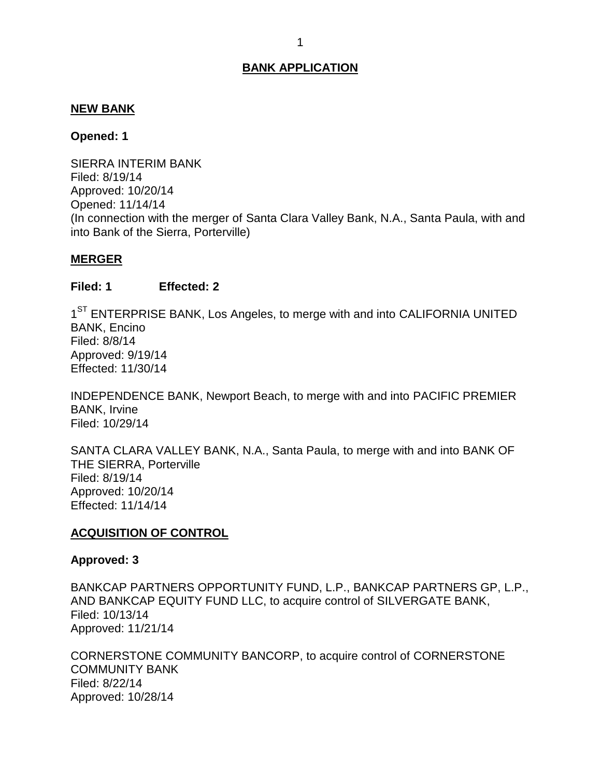#### <span id="page-1-0"></span>**NEW BANK**

#### **Opened: 1**

 SIERRA INTERIM BANK (In connection with the merger of Santa Clara Valley Bank, N.A., Santa Paula, with and into Bank of the Sierra, Porterville) Filed: 8/19/14 Approved: 10/20/14 Opened: 11/14/14

#### **MERGER**

#### **Filed: 1 Effected: 2**

1<sup>ST</sup> ENTERPRISE BANK, Los Angeles, to merge with and into CALIFORNIA UNITED BANK, Encino Filed: 8/8/14 Approved: 9/19/14 Effected: 11/30/14

 INDEPENDENCE BANK, Newport Beach, to merge with and into PACIFIC PREMIER BANK, Irvine Filed: 10/29/14

 SANTA CLARA VALLEY BANK, N.A., Santa Paula, to merge with and into BANK OF THE SIERRA, Porterville Filed: 8/19/14 Approved: 10/20/14 Effected: 11/14/14

#### **ACQUISITION OF CONTROL**

#### **Approved: 3**

 BANKCAP PARTNERS OPPORTUNITY FUND, L.P., BANKCAP PARTNERS GP, L.P., AND BANKCAP EQUITY FUND LLC, to acquire control of SILVERGATE BANK, Filed: 10/13/14 Approved: 11/21/14

 CORNERSTONE COMMUNITY BANCORP, to acquire control of CORNERSTONE COMMUNITY BANK Filed: 8/22/14 Approved: 10/28/14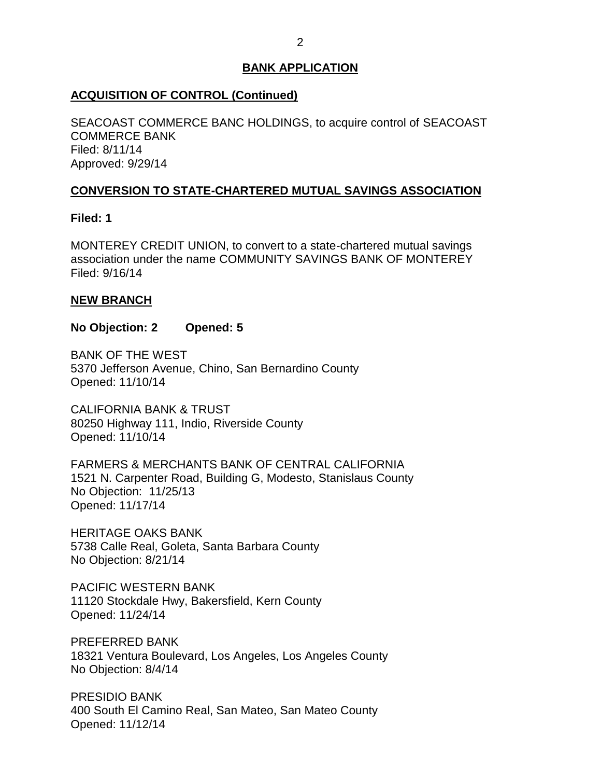## <span id="page-2-0"></span>**ACQUISITION OF CONTROL (Continued)**

 SEACOAST COMMERCE BANC HOLDINGS, to acquire control of SEACOAST COMMERCE BANK Filed: 8/11/14 Approved: 9/29/14

### **CONVERSION TO STATE-CHARTERED MUTUAL SAVINGS ASSOCIATION**

**Filed: 1** 

 MONTEREY CREDIT UNION, to convert to a state-chartered mutual savings association under the name COMMUNITY SAVINGS BANK OF MONTEREY Filed: 9/16/14

## **NEW BRANCH**

#### **No Objection: 2 Opened: 5**

 BANK OF THE WEST 5370 Jefferson Avenue, Chino, San Bernardino County Opened: 11/10/14

 CALIFORNIA BANK & TRUST 80250 Highway 111, Indio, Riverside County Opened: 11/10/14

 FARMERS & MERCHANTS BANK OF CENTRAL CALIFORNIA 1521 N. Carpenter Road, Building G, Modesto, Stanislaus County No Objection: 11/25/13 Opened: 11/17/14

 HERITAGE OAKS BANK 5738 Calle Real, Goleta, Santa Barbara County No Objection: 8/21/14

 11120 Stockdale Hwy, Bakersfield, Kern County PACIFIC WESTERN BANK Opened: 11/24/14

 18321 Ventura Boulevard, Los Angeles, Los Angeles County No Objection: 8/4/14 PREFERRED BANK

 400 South El Camino Real, San Mateo, San Mateo County PRESIDIO BANK Opened: 11/12/14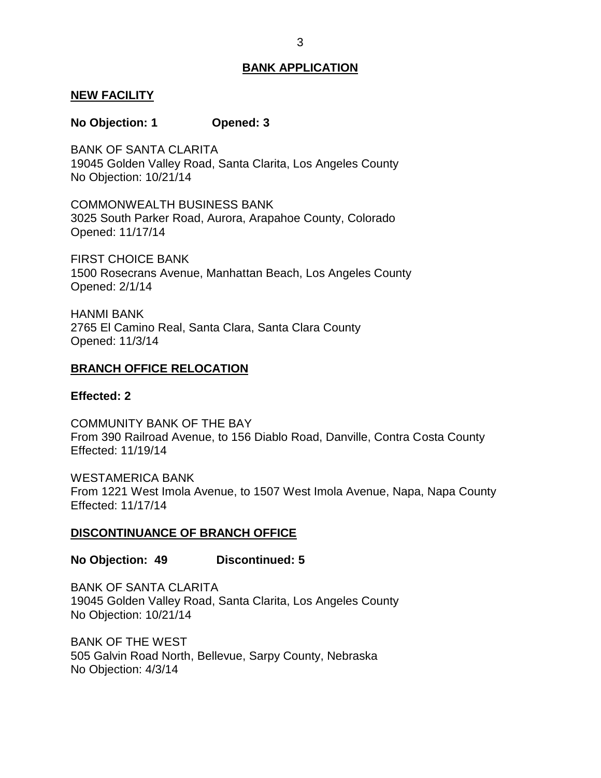#### <span id="page-3-0"></span>**NEW FACILITY**

#### **No Objection: 1 Opened: 3**

 19045 Golden Valley Road, Santa Clarita, Los Angeles County No Objection: 10/21/14 BANK OF SANTA CLARITA

 3025 South Parker Road, Aurora, Arapahoe County, Colorado COMMONWEALTH BUSINESS BANK Opened: 11/17/14

 FIRST CHOICE BANK 1500 Rosecrans Avenue, Manhattan Beach, Los Angeles County Opened: 2/1/14

 2765 El Camino Real, Santa Clara, Santa Clara County HANMI BANK Opened: 11/3/14

#### **BRANCH OFFICE RELOCATION**

#### **Effected: 2**

 COMMUNITY BANK OF THE BAY From 390 Railroad Avenue, to 156 Diablo Road, Danville, Contra Costa County Effected: 11/19/14

 From 1221 West Imola Avenue, to 1507 West Imola Avenue, Napa, Napa County WESTAMERICA BANK Effected: 11/17/14

#### **DISCONTINUANCE OF BRANCH OFFICE**

#### **No Objection: 49 Discontinued: 5**

 19045 Golden Valley Road, Santa Clarita, Los Angeles County No Objection: 10/21/14 BANK OF SANTA CLARITA

 BANK OF THE WEST 505 Galvin Road North, Bellevue, Sarpy County, Nebraska No Objection: 4/3/14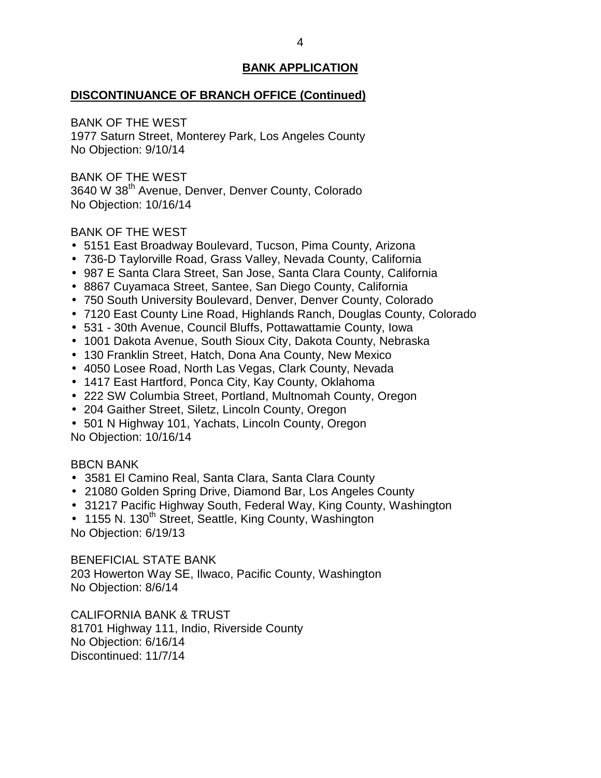## **DISCONTINUANCE OF BRANCH OFFICE (Continued)**

BANK OF THE WEST

 1977 Saturn Street, Monterey Park, Los Angeles County No Objection: 9/10/14

 BANK OF THE WEST 3640 W 38<sup>th</sup> Avenue, Denver, Denver County, Colorado No Objection: 10/16/14

## BANK OF THE WEST

- 5151 East Broadway Boulevard, Tucson, Pima County, Arizona
- 736-D Taylorville Road, Grass Valley, Nevada County, California
- 987 E Santa Clara Street, San Jose, Santa Clara County, California
- 8867 Cuyamaca Street, Santee, San Diego County, California
- 750 South University Boulevard, Denver, Denver County, Colorado
- 7120 East County Line Road, Highlands Ranch, Douglas County, Colorado
- 531 30th Avenue, Council Bluffs, Pottawattamie County, Iowa
- 1001 Dakota Avenue, South Sioux City, Dakota County, Nebraska
- 130 Franklin Street, Hatch, Dona Ana County, New Mexico
- 4050 Losee Road, North Las Vegas, Clark County, Nevada
- 1417 East Hartford, Ponca City, Kay County, Oklahoma
- 222 SW Columbia Street, Portland, Multnomah County, Oregon
- 204 Gaither Street, Siletz, Lincoln County, Oregon
- 501 N Highway 101, Yachats, Lincoln County, Oregon No Objection: 10/16/14

## BBCN BANK

- 3581 El Camino Real, Santa Clara, Santa Clara County
- 21080 Golden Spring Drive, Diamond Bar, Los Angeles County
- 31217 Pacific Highway South, Federal Way, King County, Washington
- 1155 N. 130<sup>th</sup> Street, Seattle, King County, Washington No Objection: 6/19/13

 BENEFICIAL STATE BANK 203 Howerton Way SE, Ilwaco, Pacific County, Washington No Objection: 8/6/14

 CALIFORNIA BANK & TRUST 81701 Highway 111, Indio, Riverside County No Objection: 6/16/14 Discontinued: 11/7/14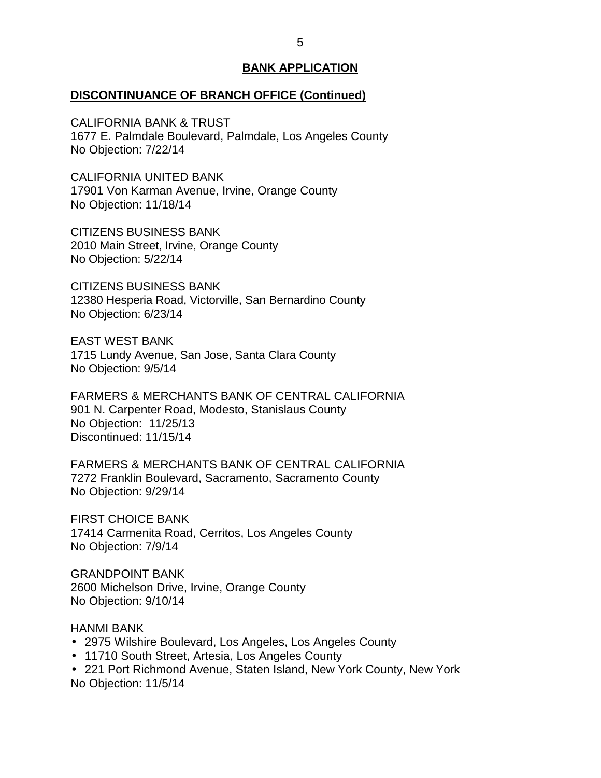#### **DISCONTINUANCE OF BRANCH OFFICE (Continued)**

 CALIFORNIA BANK & TRUST 1677 E. Palmdale Boulevard, Palmdale, Los Angeles County No Objection: 7/22/14

 17901 Von Karman Avenue, Irvine, Orange County No Objection: 11/18/14 CALIFORNIA UNITED BANK

 CITIZENS BUSINESS BANK 2010 Main Street, Irvine, Orange County No Objection: 5/22/14

 CITIZENS BUSINESS BANK 12380 Hesperia Road, Victorville, San Bernardino County No Objection: 6/23/14

 1715 Lundy Avenue, San Jose, Santa Clara County No Objection: 9/5/14 EAST WEST BANK

 FARMERS & MERCHANTS BANK OF CENTRAL CALIFORNIA 901 N. Carpenter Road, Modesto, Stanislaus County No Objection: 11/25/13 Discontinued: 11/15/14

 FARMERS & MERCHANTS BANK OF CENTRAL CALIFORNIA 7272 Franklin Boulevard, Sacramento, Sacramento County No Objection: 9/29/14

 FIRST CHOICE BANK 17414 Carmenita Road, Cerritos, Los Angeles County No Objection: 7/9/14

 2600 Michelson Drive, Irvine, Orange County No Objection: 9/10/14 GRANDPOINT BANK

HANMI BANK

- 2975 Wilshire Boulevard, Los Angeles, Los Angeles County
- 11710 South Street, Artesia, Los Angeles County
- 221 Port Richmond Avenue, Staten Island, New York County, New York No Objection: 11/5/14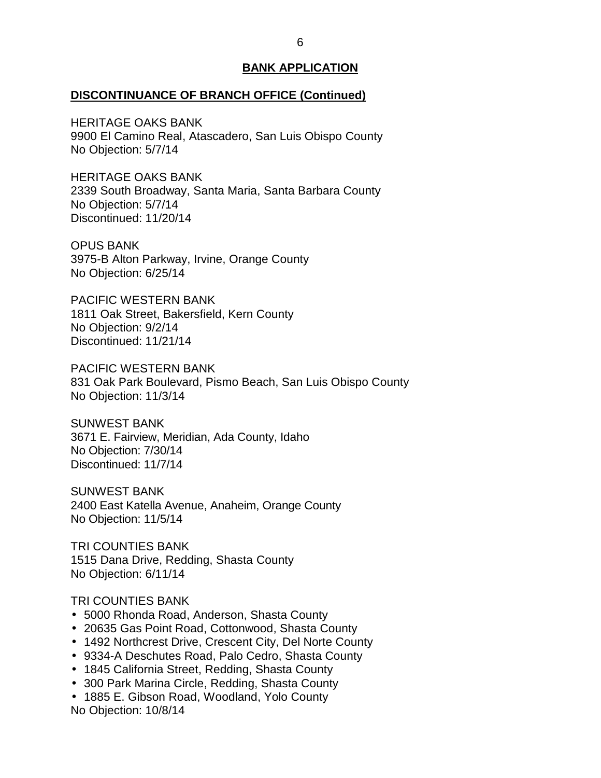#### **DISCONTINUANCE OF BRANCH OFFICE (Continued)**

 HERITAGE OAKS BANK 9900 El Camino Real, Atascadero, San Luis Obispo County No Objection: 5/7/14

 HERITAGE OAKS BANK 2339 South Broadway, Santa Maria, Santa Barbara County No Objection: 5/7/14 Discontinued: 11/20/14

 3975-B Alton Parkway, Irvine, Orange County No Objection: 6/25/14 OPUS BANK

 1811 Oak Street, Bakersfield, Kern County No Objection: 9/2/14 PACIFIC WESTERN BANK Discontinued: 11/21/14

 831 Oak Park Boulevard, Pismo Beach, San Luis Obispo County PACIFIC WESTERN BANK No Objection: 11/3/14

 3671 E. Fairview, Meridian, Ada County, Idaho No Objection: 7/30/14 SUNWEST BANK Discontinued: 11/7/14

 2400 East Katella Avenue, Anaheim, Orange County No Objection: 11/5/14 SUNWEST BANK

 1515 Dana Drive, Redding, Shasta County No Objection: 6/11/14 TRI COUNTIES BANK

#### TRI COUNTIES BANK

- 5000 Rhonda Road, Anderson, Shasta County
- 20635 Gas Point Road, Cottonwood, Shasta County
- 1492 Northcrest Drive, Crescent City, Del Norte County
- 9334-A Deschutes Road, Palo Cedro, Shasta County
- 1845 California Street, Redding, Shasta County
- 300 Park Marina Circle, Redding, Shasta County
- 1885 E. Gibson Road, Woodland, Yolo County No Objection: 10/8/14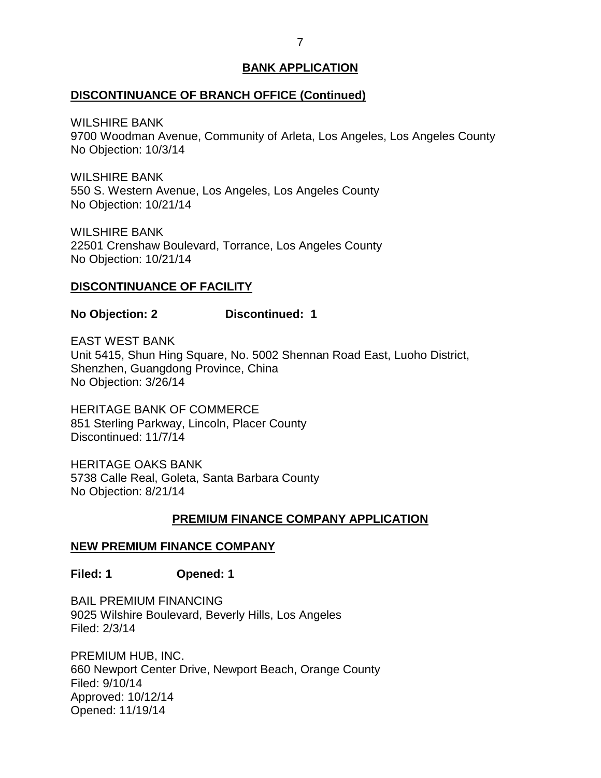### <span id="page-7-0"></span>**DISCONTINUANCE OF BRANCH OFFICE (Continued)**

WILSHIRE BANK

 9700 Woodman Avenue, Community of Arleta, Los Angeles, Los Angeles County No Objection: 10/3/14

 550 S. Western Avenue, Los Angeles, Los Angeles County No Objection: 10/21/14 WILSHIRE BANK

 22501 Crenshaw Boulevard, Torrance, Los Angeles County No Objection: 10/21/14 WILSHIRE BANK

## **DISCONTINUANCE OF FACILITY**

**No Objection: 2 Discontinued: 1** 

 EAST WEST BANK Unit 5415, Shun Hing Square, No. 5002 Shennan Road East, Luoho District, Shenzhen, Guangdong Province, China No Objection: 3/26/14

 HERITAGE BANK OF COMMERCE 851 Sterling Parkway, Lincoln, Placer County Discontinued: 11/7/14

 HERITAGE OAKS BANK 5738 Calle Real, Goleta, Santa Barbara County No Objection: 8/21/14

## **PREMIUM FINANCE COMPANY APPLICATION**

## **NEW PREMIUM FINANCE COMPANY**

**Filed: 1 Opened: 1** 

 BAIL PREMIUM FINANCING 9025 Wilshire Boulevard, Beverly Hills, Los Angeles Filed: 2/3/14

 PREMIUM HUB, INC. 660 Newport Center Drive, Newport Beach, Orange County Filed: 9/10/14 Approved: 10/12/14 Opened: 11/19/14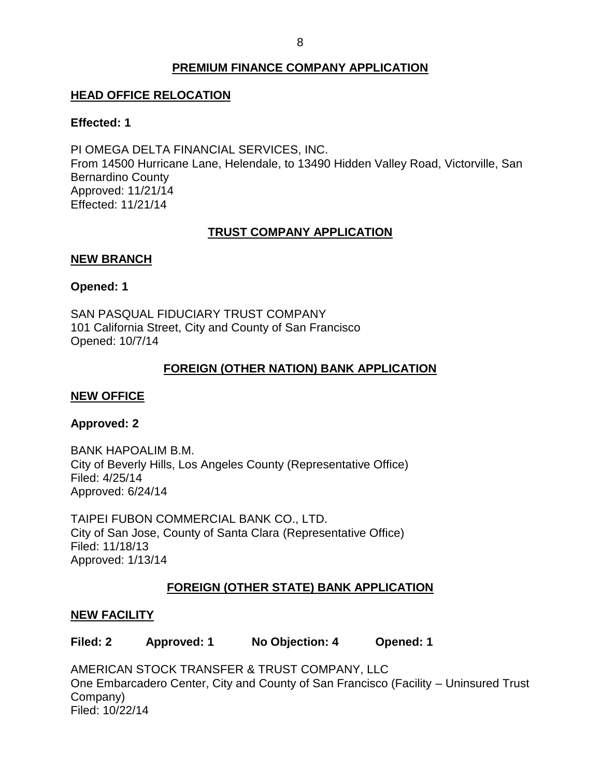## **PREMIUM FINANCE COMPANY APPLICATION**

## <span id="page-8-0"></span>**HEAD OFFICE RELOCATION**

### **Effected: 1**

 PI OMEGA DELTA FINANCIAL SERVICES, INC. From 14500 Hurricane Lane, Helendale, to 13490 Hidden Valley Road, Victorville, San Bernardino County Approved: 11/21/14 Effected: 11/21/14

## **TRUST COMPANY APPLICATION**

## **NEW BRANCH**

## **Opened: 1**

 SAN PASQUAL FIDUCIARY TRUST COMPANY 101 California Street, City and County of San Francisco Opened: 10/7/14

## **FOREIGN (OTHER NATION) BANK APPLICATION**

## **NEW OFFICE**

## **Approved: 2**

 City of Beverly Hills, Los Angeles County (Representative Office) BANK HAPOALIM B.M. Filed: 4/25/14 Approved: 6/24/14

 TAIPEI FUBON COMMERCIAL BANK CO., LTD. City of San Jose, County of Santa Clara (Representative Office) Filed: 11/18/13 Approved: 1/13/14

## **FOREIGN (OTHER STATE) BANK APPLICATION**

## **NEW FACILITY**

**Filed: 2 Approved: 1 No Objection: 4 Opened: 1** 

 AMERICAN STOCK TRANSFER & TRUST COMPANY, LLC One Embarcadero Center, City and County of San Francisco (Facility – Uninsured Trust Company) Filed: 10/22/14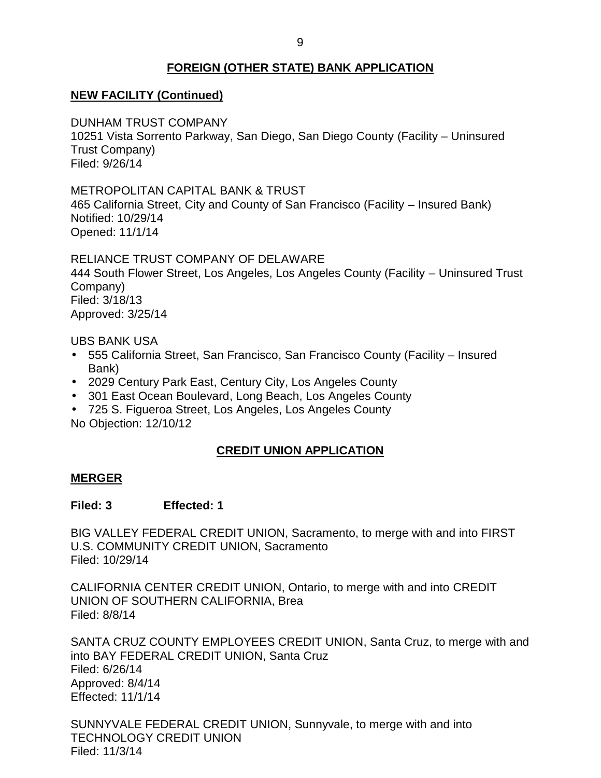## **FOREIGN (OTHER STATE) BANK APPLICATION**

## <span id="page-9-0"></span> **NEW FACILITY (Continued)**

DUNHAM TRUST COMPANY

 10251 Vista Sorrento Parkway, San Diego, San Diego County (Facility – Uninsured Trust Company) Filed: 9/26/14

### METROPOLITAN CAPITAL BANK & TRUST

 465 California Street, City and County of San Francisco (Facility – Insured Bank) Notified: 10/29/14 Opened: 11/1/14

RELIANCE TRUST COMPANY OF DELAWARE

 444 South Flower Street, Los Angeles, Los Angeles County (Facility – Uninsured Trust Company) Filed: 3/18/13 Approved: 3/25/14

UBS BANK USA

- 555 California Street, San Francisco, San Francisco County (Facility Insured Bank)
- 2029 Century Park East, Century City, Los Angeles County
- 301 East Ocean Boulevard, Long Beach, Los Angeles County
- 725 S. Figueroa Street, Los Angeles, Los Angeles County No Objection: 12/10/12

## **CREDIT UNION APPLICATION**

#### **MERGER**

#### **Filed: 3 Effected: 1**

 BIG VALLEY FEDERAL CREDIT UNION, Sacramento, to merge with and into FIRST U.S. COMMUNITY CREDIT UNION, Sacramento Filed: 10/29/14

 CALIFORNIA CENTER CREDIT UNION, Ontario, to merge with and into CREDIT UNION OF SOUTHERN CALIFORNIA, Brea Filed: 8/8/14

 SANTA CRUZ COUNTY EMPLOYEES CREDIT UNION, Santa Cruz, to merge with and into BAY FEDERAL CREDIT UNION, Santa Cruz Filed: 6/26/14 Approved: 8/4/14 Effected: 11/1/14

 SUNNYVALE FEDERAL CREDIT UNION, Sunnyvale, to merge with and into TECHNOLOGY CREDIT UNION Filed: 11/3/14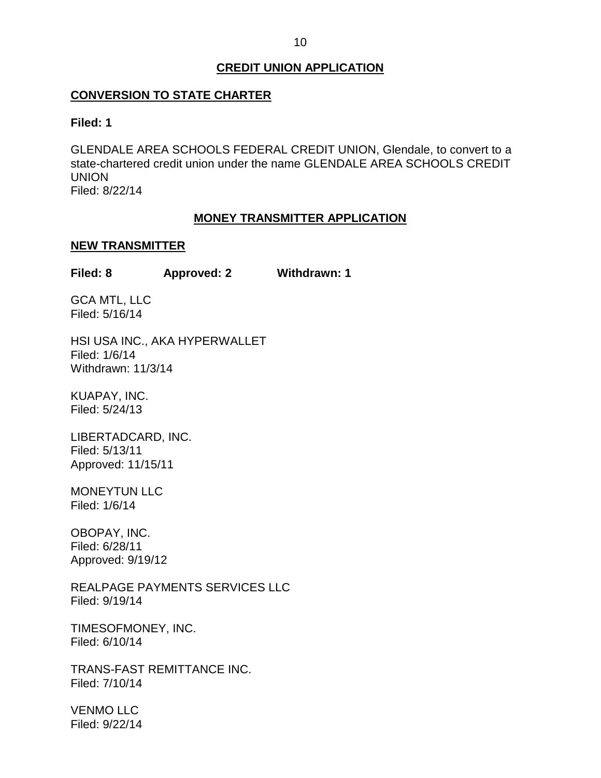## **CREDIT UNION APPLICATION**

## <span id="page-10-0"></span> **CONVERSION TO STATE CHARTER**

#### **Filed: 1**

 GLENDALE AREA SCHOOLS FEDERAL CREDIT UNION, Glendale, to convert to a state-chartered credit union under the name GLENDALE AREA SCHOOLS CREDIT UNION Filed: 8/22/14

## **MONEY TRANSMITTER APPLICATION**

#### **NEW TRANSMITTER**

| Filed: 8 | <b>Approved: 2</b> | <b>Withdrawn: 1</b> |
|----------|--------------------|---------------------|
|----------|--------------------|---------------------|

 GCA MTL, LLC Filed: 5/16/14

 HSI USA INC., AKA HYPERWALLET Filed: 1/6/14 Withdrawn: 11/3/14

KUAPAY, INC. Filed: 5/24/13

LIBERTADCARD, INC. Filed: 5/13/11 Approved: 11/15/11

MONEYTUN LLC Filed: 1/6/14

OBOPAY, INC. Filed: 6/28/11 Approved: 9/19/12

REALPAGE PAYMENTS SERVICES LLC Filed: 9/19/14

TIMESOFMONEY, INC. Filed: 6/10/14

TRANS-FAST REMITTANCE INC. Filed: 7/10/14

VENMO LLC Filed: 9/22/14